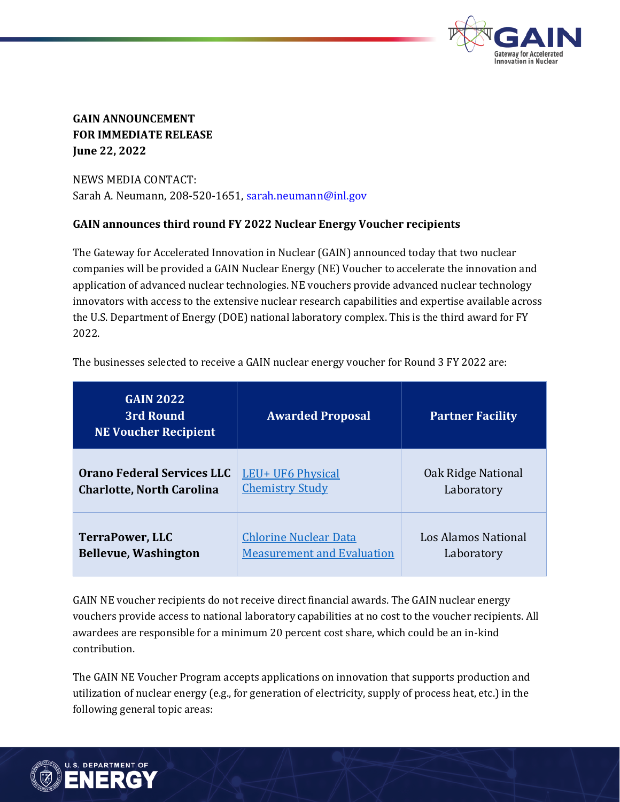

## **GAIN ANNOUNCEMENT FOR IMMEDIATE RELEASE June 22, 2022**

NEWS MEDIA CONTACT: Sarah A. Neumann, 208-520-1651, sarah.neumann@inl.gov

## **GAIN announces third round FY 2022 Nuclear Energy Voucher recipients**

The Gateway for Accelerated Innovation in Nuclear (GAIN) announced today that two nuclear companies will be provided a GAIN Nuclear Energy (NE) Voucher to accelerate the innovation and application of advanced nuclear technologies. NE vouchers provide advanced nuclear technology innovators with access to the extensive nuclear research capabilities and expertise available across the U.S. Department of Energy (DOE) national laboratory complex. This is the third award for FY 2022.

The businesses selected to receive a GAIN nuclear energy voucher for Round 3 FY 2022 are:

| <b>GAIN 2022</b><br>3rd Round<br><b>NE Voucher Recipient</b> | <b>Awarded Proposal</b>           | <b>Partner Facility</b> |
|--------------------------------------------------------------|-----------------------------------|-------------------------|
| <b>Orano Federal Services LLC</b>                            | LEU+ UF6 Physical                 | Oak Ridge National      |
| <b>Charlotte, North Carolina</b>                             | <b>Chemistry Study</b>            | Laboratory              |
| TerraPower, LLC                                              | <b>Chlorine Nuclear Data</b>      | Los Alamos National     |
| <b>Bellevue, Washington</b>                                  | <b>Measurement and Evaluation</b> | Laboratory              |

GAIN NE voucher recipients do not receive direct financial awards. The GAIN nuclear energy vouchers provide access to national laboratory capabilities at no cost to the voucher recipients. All awardees are responsible for a minimum 20 percent cost share, which could be an in-kind contribution.

The GAIN NE Voucher Program accepts applications on innovation that supports production and utilization of nuclear energy (e.g., for generation of electricity, supply of process heat, etc.) in the following general topic areas: